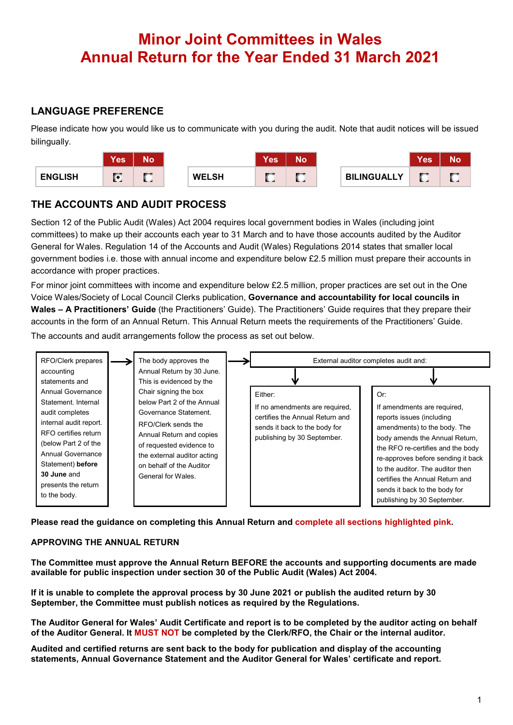# **Minor Joint Committees in Wales Annual Return for the Year Ended 31 March 2021**

### **LANGUAGE PREFERENCE**

Please indicate how you would like us to communicate with you during the audit. Note that audit notices will be issued bilingually.

|                | <b>Yes</b>        | No.                   |              | <b>Yes</b>   | Νo |                    | <b>Yes</b> | No                   |
|----------------|-------------------|-----------------------|--------------|--------------|----|--------------------|------------|----------------------|
| <b>ENGLISH</b> | $\sqrt{2}$<br>. . | <b>Britis</b><br>R. G | <b>WELSH</b> | <b>SPORT</b> |    | <b>BILINGUALLY</b> | r<br>. .   | <b>Britis</b><br>. . |

### **THE ACCOUNTS AND AUDIT PROCESS**

Section 12 of the Public Audit (Wales) Act 2004 requires local government bodies in Wales (including joint committees) to make up their accounts each year to 31 March and to have those accounts audited by the Auditor General for Wales. Regulation 14 of the Accounts and Audit (Wales) Regulations 2014 states that smaller local government bodies i.e. those with annual income and expenditure below £2.5 million must prepare their accounts in accordance with proper practices.

For minor joint committees with income and expenditure below £2.5 million, proper practices are set out in the One Voice Wales/Society of Local Council Clerks publication, **Governance and accountability for local councils in Wales – A Practitioners' Guide** (the Practitioners' Guide). The Practitioners' Guide requires that they prepare their accounts in the form of an Annual Return. This Annual Return meets the requirements of the Practitioners' Guide.

The accounts and audit arrangements follow the process as set out below.



**Please read the guidance on completing this Annual Return and complete all sections highlighted pink.**

#### **APPROVING THE ANNUAL RETURN**

**The Committee must approve the Annual Return BEFORE the accounts and supporting documents are made available for public inspection under section 30 of the Public Audit (Wales) Act 2004.**

**If it is unable to complete the approval process by 30 June 2021 or publish the audited return by 30 September, the Committee must publish notices as required by the Regulations.**

**The Auditor General for Wales' Audit Certificate and report is to be completed by the auditor acting on behalf of the Auditor General. It MUST NOT be completed by the Clerk/RFO, the Chair or the internal auditor.**

**Audited and certified returns are sent back to the body for publication and display of the accounting statements, Annual Governance Statement and the Auditor General for Wales' certificate and report.**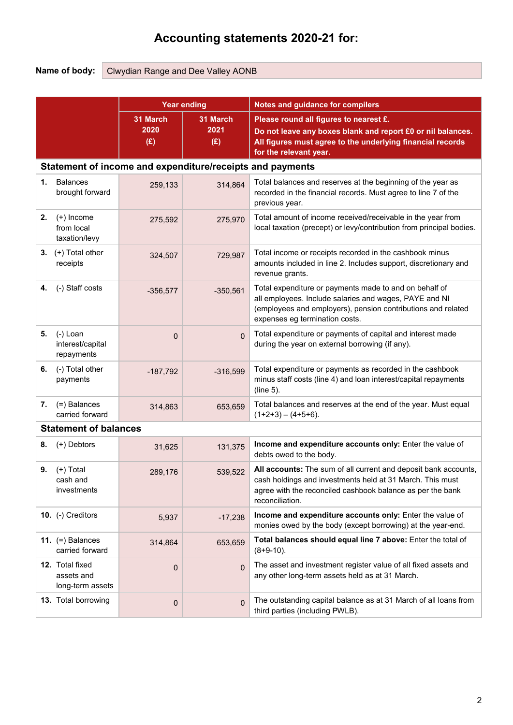## **Accounting statements 2020-21 for:**

**Name of body:** Clwydian Range and Dee Valley AONB

|    |                                                   |                         | <b>Year ending</b>                                        | Notes and guidance for compilers                                                                                                                                                                                   |
|----|---------------------------------------------------|-------------------------|-----------------------------------------------------------|--------------------------------------------------------------------------------------------------------------------------------------------------------------------------------------------------------------------|
|    |                                                   | 31 March<br>2020<br>(E) | 31 March<br>2021<br>(E)                                   | Please round all figures to nearest £.<br>Do not leave any boxes blank and report £0 or nil balances.<br>All figures must agree to the underlying financial records<br>for the relevant year.                      |
|    |                                                   |                         | Statement of income and expenditure/receipts and payments |                                                                                                                                                                                                                    |
| 1. | <b>Balances</b><br>brought forward                | 259,133                 | 314,864                                                   | Total balances and reserves at the beginning of the year as<br>recorded in the financial records. Must agree to line 7 of the<br>previous year.                                                                    |
| 2. | $(+)$ Income<br>from local<br>taxation/levy       | 275,592                 | 275,970                                                   | Total amount of income received/receivable in the year from<br>local taxation (precept) or levy/contribution from principal bodies.                                                                                |
|    | 3. $(+)$ Total other<br>receipts                  | 324,507                 | 729,987                                                   | Total income or receipts recorded in the cashbook minus<br>amounts included in line 2. Includes support, discretionary and<br>revenue grants.                                                                      |
| 4. | (-) Staff costs                                   | $-356,577$              | $-350,561$                                                | Total expenditure or payments made to and on behalf of<br>all employees. Include salaries and wages, PAYE and NI<br>(employees and employers), pension contributions and related<br>expenses eg termination costs. |
| 5. | (-) Loan<br>interest/capital<br>repayments        | 0                       | $\mathbf{0}$                                              | Total expenditure or payments of capital and interest made<br>during the year on external borrowing (if any).                                                                                                      |
| 6. | (-) Total other<br>payments                       | $-187,792$              | $-316,599$                                                | Total expenditure or payments as recorded in the cashbook<br>minus staff costs (line 4) and loan interest/capital repayments<br>(line 5).                                                                          |
| 7. | (=) Balances<br>carried forward                   | 314,863                 | 653,659                                                   | Total balances and reserves at the end of the year. Must equal<br>$(1+2+3) - (4+5+6)$ .                                                                                                                            |
|    | <b>Statement of balances</b>                      |                         |                                                           |                                                                                                                                                                                                                    |
| 8. | (+) Debtors                                       | 31,625                  | 131,375                                                   | Income and expenditure accounts only: Enter the value of<br>debts owed to the body.                                                                                                                                |
| 9. | (+) Total<br>cash and<br>investments              | 289,176                 | 539,522                                                   | All accounts: The sum of all current and deposit bank accounts,<br>cash holdings and investments held at 31 March. This must<br>agree with the reconciled cashbook balance as per the bank<br>reconciliation.      |
|    | 10. (-) Creditors                                 | 5,937                   | $-17,238$                                                 | Income and expenditure accounts only: Enter the value of<br>monies owed by the body (except borrowing) at the year-end.                                                                                            |
|    | 11. $(=)$ Balances<br>carried forward             | 314,864                 | 653,659                                                   | Total balances should equal line 7 above: Enter the total of<br>$(8+9-10)$ .                                                                                                                                       |
|    | 12. Total fixed<br>assets and<br>long-term assets | 0                       | $\mathbf{0}$                                              | The asset and investment register value of all fixed assets and<br>any other long-term assets held as at 31 March.                                                                                                 |
|    | 13. Total borrowing                               | 0                       | $\Omega$                                                  | The outstanding capital balance as at 31 March of all loans from<br>third parties (including PWLB).                                                                                                                |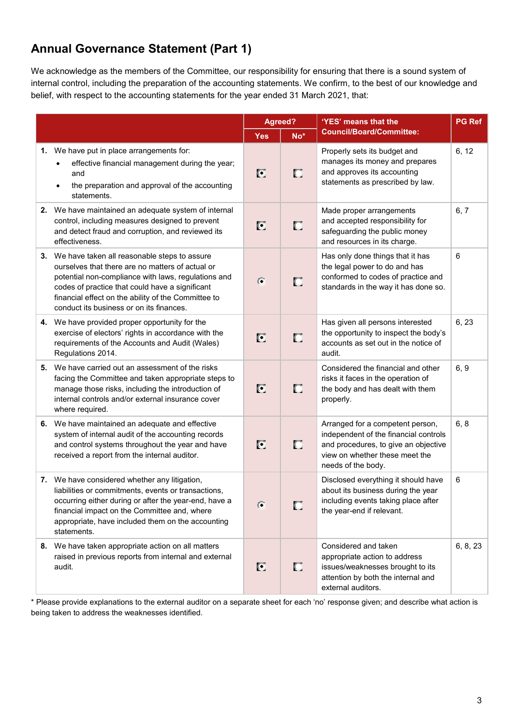## **Annual Governance Statement (Part 1)**

We acknowledge as the members of the Committee, our responsibility for ensuring that there is a sound system of internal control, including the preparation of the accounting statements. We confirm, to the best of our knowledge and belief, with respect to the accounting statements for the year ended 31 March 2021, that:

|                                                                                                                                                                                                                                                                                                                  | Agreed?        |       | 'YES' means that the                                                                                                                                                      | <b>PG Ref</b> |
|------------------------------------------------------------------------------------------------------------------------------------------------------------------------------------------------------------------------------------------------------------------------------------------------------------------|----------------|-------|---------------------------------------------------------------------------------------------------------------------------------------------------------------------------|---------------|
|                                                                                                                                                                                                                                                                                                                  | <b>Yes</b>     | $No*$ | <b>Council/Board/Committee:</b>                                                                                                                                           |               |
| 1. We have put in place arrangements for:<br>effective financial management during the year;<br>and<br>the preparation and approval of the accounting<br>statements.                                                                                                                                             | O              | О     | Properly sets its budget and<br>manages its money and prepares<br>and approves its accounting<br>statements as prescribed by law.                                         | 6, 12         |
| 2. We have maintained an adequate system of internal<br>control, including measures designed to prevent<br>and detect fraud and corruption, and reviewed its<br>effectiveness.                                                                                                                                   | O              | О     | Made proper arrangements<br>and accepted responsibility for<br>safeguarding the public money<br>and resources in its charge.                                              | 6, 7          |
| 3. We have taken all reasonable steps to assure<br>ourselves that there are no matters of actual or<br>potential non-compliance with laws, regulations and<br>codes of practice that could have a significant<br>financial effect on the ability of the Committee to<br>conduct its business or on its finances. | $\overline{G}$ | О     | Has only done things that it has<br>the legal power to do and has<br>conformed to codes of practice and<br>standards in the way it has done so.                           | 6             |
| 4. We have provided proper opportunity for the<br>exercise of electors' rights in accordance with the<br>requirements of the Accounts and Audit (Wales)<br>Regulations 2014.                                                                                                                                     | O              | О     | Has given all persons interested<br>the opportunity to inspect the body's<br>accounts as set out in the notice of<br>audit.                                               | 6, 23         |
| 5. We have carried out an assessment of the risks<br>facing the Committee and taken appropriate steps to<br>manage those risks, including the introduction of<br>internal controls and/or external insurance cover<br>where required.                                                                            | O              | О     | Considered the financial and other<br>risks it faces in the operation of<br>the body and has dealt with them<br>properly.                                                 | 6, 9          |
| 6. We have maintained an adequate and effective<br>system of internal audit of the accounting records<br>and control systems throughout the year and have<br>received a report from the internal auditor.                                                                                                        | ſ.             | О     | Arranged for a competent person,<br>independent of the financial controls<br>and procedures, to give an objective<br>view on whether these meet the<br>needs of the body. | 6, 8          |
| 7. We have considered whether any litigation,<br>liabilities or commitments, events or transactions,<br>occurring either during or after the year-end, have a<br>financial impact on the Committee and, where<br>appropriate, have included them on the accounting<br>statements.                                | $\epsilon$     | О     | Disclosed everything it should have<br>about its business during the year<br>including events taking place after<br>the year-end if relevant.                             | 6             |
| 8. We have taken appropriate action on all matters<br>raised in previous reports from internal and external<br>audit.                                                                                                                                                                                            | O              | о     | Considered and taken<br>appropriate action to address<br>issues/weaknesses brought to its<br>attention by both the internal and<br>external auditors.                     | 6, 8, 23      |

\* Please provide explanations to the external auditor on a separate sheet for each 'no' response given; and describe what action is being taken to address the weaknesses identified.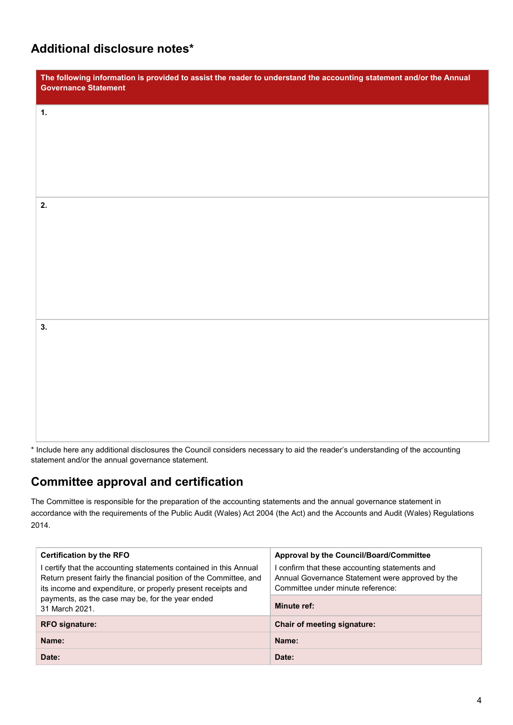### **Additional disclosure notes\***

| The following information is provided to assist the reader to understand the accounting statement and/or the Annual<br><b>Governance Statement</b> |
|----------------------------------------------------------------------------------------------------------------------------------------------------|
| 1.                                                                                                                                                 |
|                                                                                                                                                    |
|                                                                                                                                                    |
| 2.                                                                                                                                                 |
|                                                                                                                                                    |
|                                                                                                                                                    |
|                                                                                                                                                    |
| 3.                                                                                                                                                 |
|                                                                                                                                                    |
|                                                                                                                                                    |
|                                                                                                                                                    |

\* Include here any additional disclosures the Council considers necessary to aid the reader's understanding of the accounting statement and/or the annual governance statement.

## **Committee approval and certification**

The Committee is responsible for the preparation of the accounting statements and the annual governance statement in accordance with the requirements of the Public Audit (Wales) Act 2004 (the Act) and the Accounts and Audit (Wales) Regulations 2014.

| <b>Certification by the RFO</b><br>I certify that the accounting statements contained in this Annual<br>Return present fairly the financial position of the Committee, and<br>its income and expenditure, or properly present receipts and | Approval by the Council/Board/Committee<br>I confirm that these accounting statements and<br>Annual Governance Statement were approved by the<br>Committee under minute reference: |  |
|--------------------------------------------------------------------------------------------------------------------------------------------------------------------------------------------------------------------------------------------|------------------------------------------------------------------------------------------------------------------------------------------------------------------------------------|--|
| payments, as the case may be, for the year ended<br>31 March 2021.                                                                                                                                                                         | Minute ref:                                                                                                                                                                        |  |
| <b>RFO signature:</b>                                                                                                                                                                                                                      | <b>Chair of meeting signature:</b>                                                                                                                                                 |  |
| Name:                                                                                                                                                                                                                                      | Name:                                                                                                                                                                              |  |
| Date:                                                                                                                                                                                                                                      | Date:                                                                                                                                                                              |  |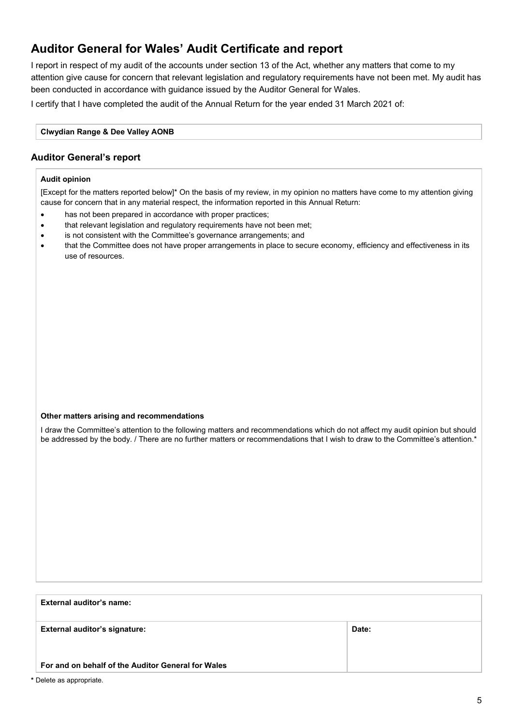### **Auditor General for Wales' Audit Certificate and report**

I report in respect of my audit of the accounts under section 13 of the Act, whether any matters that come to my attention give cause for concern that relevant legislation and regulatory requirements have not been met. My audit has been conducted in accordance with guidance issued by the Auditor General for Wales.

I certify that I have completed the audit of the Annual Return for the year ended 31 March 2021 of:

#### **Clwydian Range & Dee Valley AONB**

#### **Auditor General's report**

#### **Audit opinion**

[Except for the matters reported below]\* On the basis of my review, in my opinion no matters have come to my attention giving cause for concern that in any material respect, the information reported in this Annual Return:

- has not been prepared in accordance with proper practices;
- that relevant legislation and regulatory requirements have not been met;
- is not consistent with the Committee's governance arrangements; and
- that the Committee does not have proper arrangements in place to secure economy, efficiency and effectiveness in its use of resources.

#### **Other matters arising and recommendations**

I draw the Committee's attention to the following matters and recommendations which do not affect my audit opinion but should be addressed by the body. / There are no further matters or recommendations that I wish to draw to the Committee's attention.\*

# **External auditor's name: External auditor's signature: For and on behalf of the Auditor General for Wales** Date:

**\*** Delete as appropriate.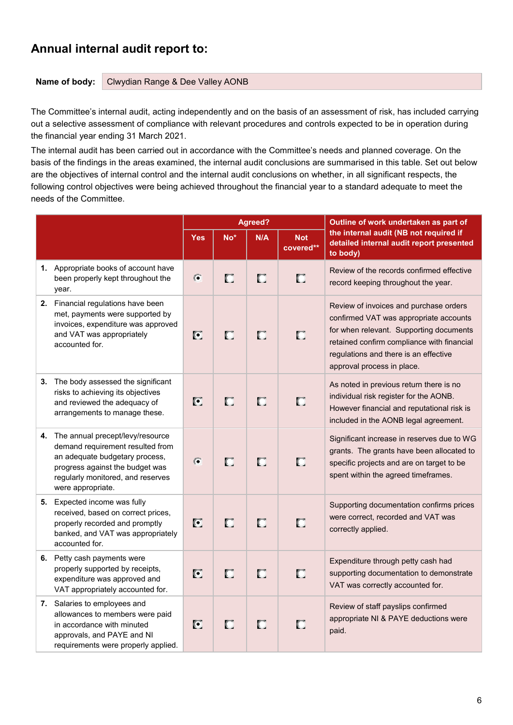### **Annual internal audit report to:**

**Name of body:** Clwydian Range & Dee Valley AONB

The Committee's internal audit, acting independently and on the basis of an assessment of risk, has included carrying out a selective assessment of compliance with relevant procedures and controls expected to be in operation during the financial year ending 31 March 2021.

The internal audit has been carried out in accordance with the Committee's needs and planned coverage. On the basis of the findings in the areas examined, the internal audit conclusions are summarised in this table. Set out below are the objectives of internal control and the internal audit conclusions on whether, in all significant respects, the following control objectives were being achieved throughout the financial year to a standard adequate to meet the needs of the Committee.

|                                                                                                                                                                                                        |                |        | Agreed? |                         | Outline of work undertaken as part of                                                                                                                                                                                                            |
|--------------------------------------------------------------------------------------------------------------------------------------------------------------------------------------------------------|----------------|--------|---------|-------------------------|--------------------------------------------------------------------------------------------------------------------------------------------------------------------------------------------------------------------------------------------------|
|                                                                                                                                                                                                        | <b>Yes</b>     | $No*$  | N/A     | <b>Not</b><br>covered** | the internal audit (NB not required if<br>detailed internal audit report presented<br>to body)                                                                                                                                                   |
| 1. Appropriate books of account have<br>been properly kept throughout the<br>year.                                                                                                                     | $\overline{G}$ | $\Box$ | П       | O                       | Review of the records confirmed effective<br>record keeping throughout the year.                                                                                                                                                                 |
| 2. Financial regulations have been<br>met, payments were supported by<br>invoices, expenditure was approved<br>and VAT was appropriately<br>accounted for.                                             | $\bullet$      | П      | П       | О                       | Review of invoices and purchase orders<br>confirmed VAT was appropriate accounts<br>for when relevant. Supporting documents<br>retained confirm compliance with financial<br>regulations and there is an effective<br>approval process in place. |
| 3. The body assessed the significant<br>risks to achieving its objectives<br>and reviewed the adequacy of<br>arrangements to manage these.                                                             | O              | О      | О       | О                       | As noted in previous return there is no<br>individual risk register for the AONB.<br>However financial and reputational risk is<br>included in the AONB legal agreement.                                                                         |
| 4. The annual precept/levy/resource<br>demand requirement resulted from<br>an adequate budgetary process,<br>progress against the budget was<br>regularly monitored, and reserves<br>were appropriate. | $\epsilon$     | П      | О       | П                       | Significant increase in reserves due to WG<br>grants. The grants have been allocated to<br>specific projects and are on target to be<br>spent within the agreed timeframes.                                                                      |
| 5. Expected income was fully<br>received, based on correct prices,<br>properly recorded and promptly<br>banked, and VAT was appropriately<br>accounted for.                                            | O              | П      | О       | О                       | Supporting documentation confirms prices<br>were correct, recorded and VAT was<br>correctly applied.                                                                                                                                             |
| 6. Petty cash payments were<br>properly supported by receipts,<br>expenditure was approved and<br>VAT appropriately accounted for.                                                                     | Ø              | П      | П       | O                       | Expenditure through petty cash had<br>supporting documentation to demonstrate<br>VAT was correctly accounted for.                                                                                                                                |
| 7. Salaries to employees and<br>allowances to members were paid<br>in accordance with minuted<br>approvals, and PAYE and NI<br>requirements were properly applied.                                     | C              | П      | П       | О                       | Review of staff payslips confirmed<br>appropriate NI & PAYE deductions were<br>paid.                                                                                                                                                             |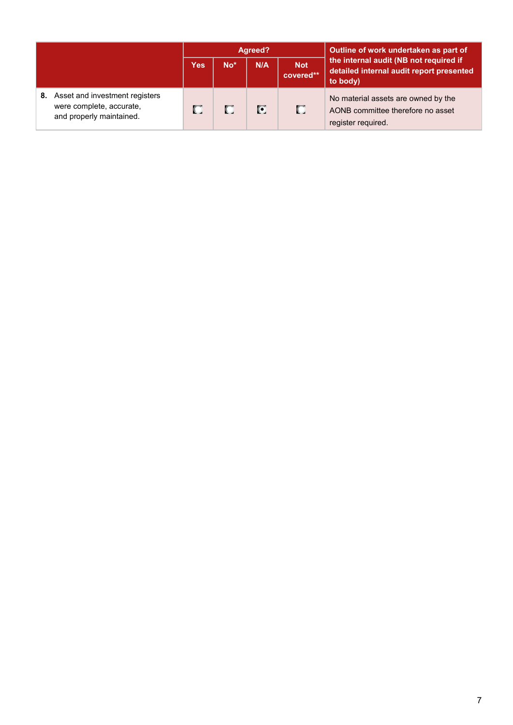|    |                                                                                        | Agreed? |                 |     |                         | Outline of work undertaken as part of                                                          |  |
|----|----------------------------------------------------------------------------------------|---------|-----------------|-----|-------------------------|------------------------------------------------------------------------------------------------|--|
|    |                                                                                        |         | No <sup>*</sup> | N/A | <b>Not</b><br>covered** | the internal audit (NB not required if<br>detailed internal audit report presented<br>to body) |  |
| 8. | Asset and investment registers<br>were complete, accurate,<br>and properly maintained. |         | п               | O   | П                       | No material assets are owned by the<br>AONB committee therefore no asset<br>register required. |  |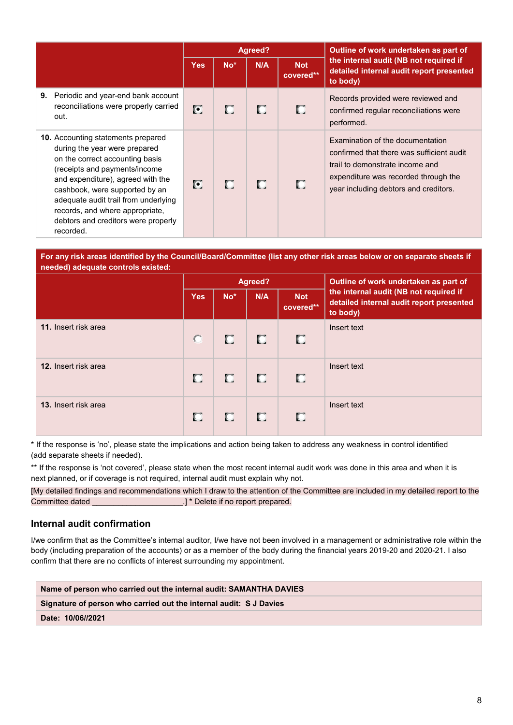|                                                                                                                                                                                                                                                                                                                                                      |            |       | Agreed? |                         | Outline of work undertaken as part of                                                                                                                                                             |  |
|------------------------------------------------------------------------------------------------------------------------------------------------------------------------------------------------------------------------------------------------------------------------------------------------------------------------------------------------------|------------|-------|---------|-------------------------|---------------------------------------------------------------------------------------------------------------------------------------------------------------------------------------------------|--|
|                                                                                                                                                                                                                                                                                                                                                      | <b>Yes</b> | $No*$ | N/A     | <b>Not</b><br>covered** | the internal audit (NB not required if<br>detailed internal audit report presented<br>to body)                                                                                                    |  |
| Periodic and year-end bank account<br>9.<br>reconciliations were properly carried<br>out.                                                                                                                                                                                                                                                            | o          | О     | о       | О                       | Records provided were reviewed and<br>confirmed regular reconciliations were<br>performed.                                                                                                        |  |
| <b>10.</b> Accounting statements prepared<br>during the year were prepared<br>on the correct accounting basis<br>(receipts and payments/income<br>and expenditure), agreed with the<br>cashbook, were supported by an<br>adequate audit trail from underlying<br>records, and where appropriate,<br>debtors and creditors were properly<br>recorded. | C          | О     | О       | П                       | Examination of the documentation<br>confirmed that there was sufficient audit<br>trail to demonstrate income and<br>expenditure was recorded through the<br>year including debtors and creditors. |  |

#### **For any risk areas identified by the Council/Board/Committee (list any other risk areas below or on separate sheets if needed) adequate controls existed:**

|                      | Agreed?    |       |     |                         | Outline of work undertaken as part of                                                          |  |
|----------------------|------------|-------|-----|-------------------------|------------------------------------------------------------------------------------------------|--|
|                      | <b>Yes</b> | $No*$ | N/A | <b>Not</b><br>covered** | the internal audit (NB not required if<br>detailed internal audit report presented<br>to body) |  |
| 11. Insert risk area | $\bullet$  | п     | O.  | o                       | Insert text                                                                                    |  |
| 12. Insert risk area | C.         | U.    | D.  | ю                       | Insert text                                                                                    |  |
| 13. Insert risk area | о          | П     | п   | п                       | Insert text                                                                                    |  |

\* If the response is 'no', please state the implications and action being taken to address any weakness in control identified (add separate sheets if needed).

\*\* If the response is 'not covered', please state when the most recent internal audit work was done in this area and when it is next planned, or if coverage is not required, internal audit must explain why not.

[My detailed findings and recommendations which I draw to the attention of the Committee are included in my detailed report to the Committee dated **Committee dated Committee dated Committee dated Committee dated** 

#### **Internal audit confirmation**

I/we confirm that as the Committee's internal auditor, I/we have not been involved in a management or administrative role within the body (including preparation of the accounts) or as a member of the body during the financial years 2019-20 and 2020-21. I also confirm that there are no conflicts of interest surrounding my appointment.

#### **Name of person who carried out the internal audit: SAMANTHA DAVIES**

**Signature of person who carried out the internal audit: S J Davies** 

**Date: 10/06//2021**